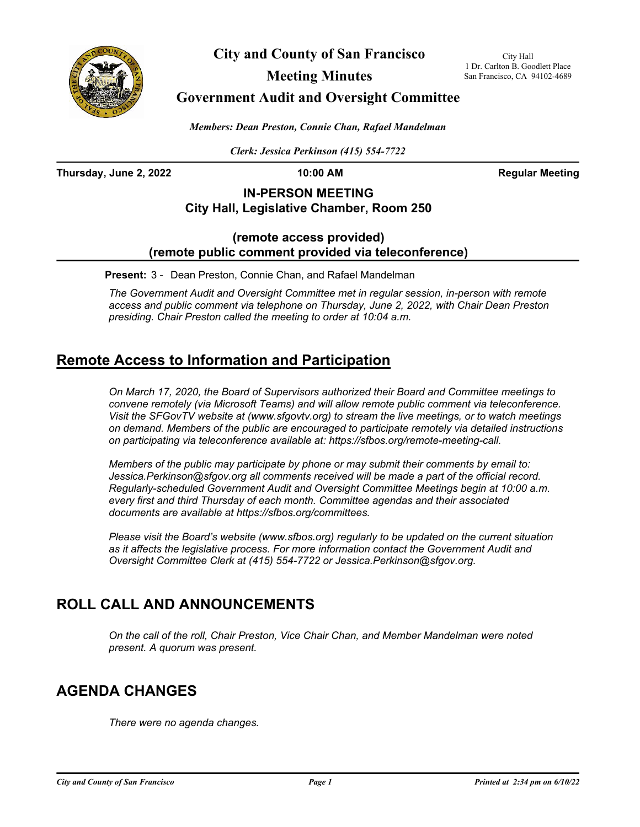

**City and County of San Francisco**

City Hall 1 Dr. Carlton B. Goodlett Place San Francisco, CA 94102-4689

**Meeting Minutes**

**Government Audit and Oversight Committee**

*Members: Dean Preston, Connie Chan, Rafael Mandelman*

*Clerk: Jessica Perkinson (415) 554-7722*

**Thursday, June 2, 2022 10:00 AM Regular Meeting**

## **IN-PERSON MEETING City Hall, Legislative Chamber, Room 250**

## **(remote access provided) (remote public comment provided via teleconference)**

**Present:** 3 - Dean Preston, Connie Chan, and Rafael Mandelman

*The Government Audit and Oversight Committee met in regular session, in-person with remote access and public comment via telephone on Thursday, June 2, 2022, with Chair Dean Preston presiding. Chair Preston called the meeting to order at 10:04 a.m.*

# **Remote Access to Information and Participation**

*On March 17, 2020, the Board of Supervisors authorized their Board and Committee meetings to convene remotely (via Microsoft Teams) and will allow remote public comment via teleconference. Visit the SFGovTV website at (www.sfgovtv.org) to stream the live meetings, or to watch meetings on demand. Members of the public are encouraged to participate remotely via detailed instructions on participating via teleconference available at: https://sfbos.org/remote-meeting-call.*

*Members of the public may participate by phone or may submit their comments by email to: Jessica.Perkinson@sfgov.org all comments received will be made a part of the official record. Regularly-scheduled Government Audit and Oversight Committee Meetings begin at 10:00 a.m. every first and third Thursday of each month. Committee agendas and their associated documents are available at https://sfbos.org/committees.*

*Please visit the Board's website (www.sfbos.org) regularly to be updated on the current situation*  as it affects the legislative process. For more information contact the Government Audit and *Oversight Committee Clerk at (415) 554-7722 or Jessica.Perkinson@sfgov.org.*

# **ROLL CALL AND ANNOUNCEMENTS**

*On the call of the roll, Chair Preston, Vice Chair Chan, and Member Mandelman were noted present. A quorum was present.*

# **AGENDA CHANGES**

*There were no agenda changes.*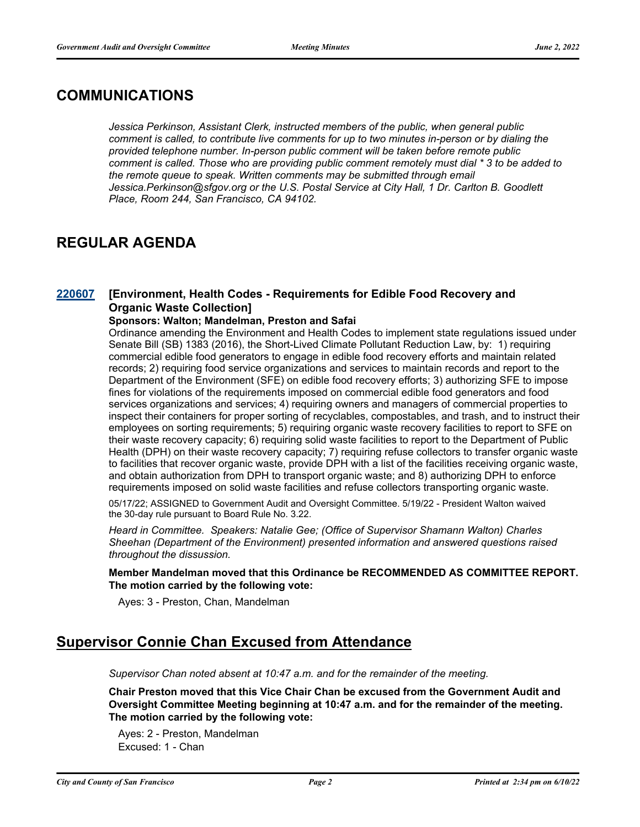## **COMMUNICATIONS**

*Jessica Perkinson, Assistant Clerk, instructed members of the public, when general public comment is called, to contribute live comments for up to two minutes in-person or by dialing the provided telephone number. In-person public comment will be taken before remote public comment is called. Those who are providing public comment remotely must dial \* 3 to be added to the remote queue to speak. Written comments may be submitted through email Jessica.Perkinson@sfgov.org or the U.S. Postal Service at City Hall, 1 Dr. Carlton B. Goodlett Place, Room 244, San Francisco, CA 94102.*

# **REGULAR AGENDA**

#### **[Environment, Health Codes - Requirements for Edible Food Recovery and Organic Waste Collection] [220607](http://sfgov.legistar.com/gateway.aspx?m=l&id=38799)**

### **Sponsors: Walton; Mandelman, Preston and Safai**

Ordinance amending the Environment and Health Codes to implement state regulations issued under Senate Bill (SB) 1383 (2016), the Short-Lived Climate Pollutant Reduction Law, by: 1) requiring commercial edible food generators to engage in edible food recovery efforts and maintain related records; 2) requiring food service organizations and services to maintain records and report to the Department of the Environment (SFE) on edible food recovery efforts; 3) authorizing SFE to impose fines for violations of the requirements imposed on commercial edible food generators and food services organizations and services; 4) requiring owners and managers of commercial properties to inspect their containers for proper sorting of recyclables, compostables, and trash, and to instruct their employees on sorting requirements; 5) requiring organic waste recovery facilities to report to SFE on their waste recovery capacity; 6) requiring solid waste facilities to report to the Department of Public Health (DPH) on their waste recovery capacity; 7) requiring refuse collectors to transfer organic waste to facilities that recover organic waste, provide DPH with a list of the facilities receiving organic waste, and obtain authorization from DPH to transport organic waste; and 8) authorizing DPH to enforce requirements imposed on solid waste facilities and refuse collectors transporting organic waste.

05/17/22; ASSIGNED to Government Audit and Oversight Committee. 5/19/22 - President Walton waived the 30-day rule pursuant to Board Rule No. 3.22.

*Heard in Committee. Speakers: Natalie Gee; (Office of Supervisor Shamann Walton) Charles Sheehan (Department of the Environment) presented information and answered questions raised throughout the dissussion.*

**Member Mandelman moved that this Ordinance be RECOMMENDED AS COMMITTEE REPORT. The motion carried by the following vote:**

Ayes: 3 - Preston, Chan, Mandelman

## **Supervisor Connie Chan Excused from Attendance**

*Supervisor Chan noted absent at 10:47 a.m. and for the remainder of the meeting.*

**Chair Preston moved that this Vice Chair Chan be excused from the Government Audit and Oversight Committee Meeting beginning at 10:47 a.m. and for the remainder of the meeting. The motion carried by the following vote:**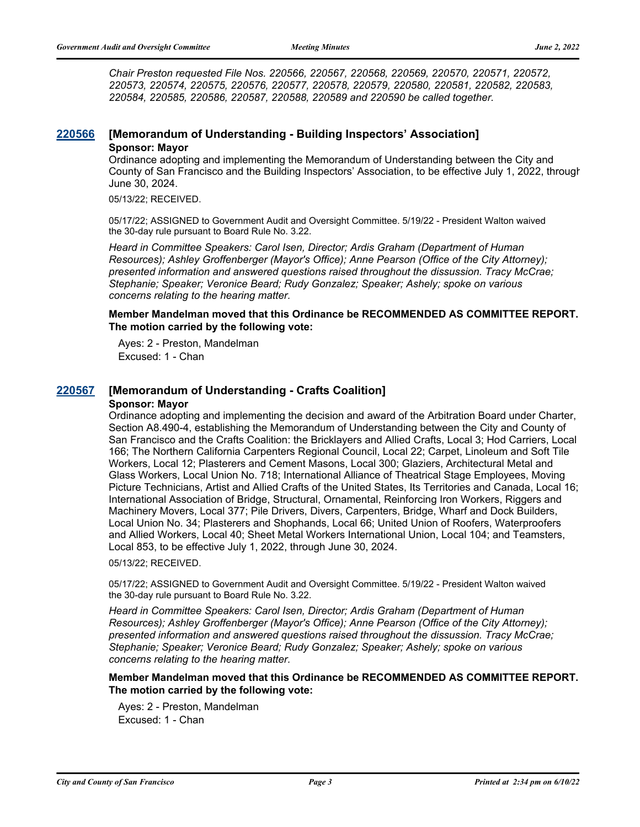*Chair Preston requested File Nos. 220566, 220567, 220568, 220569, 220570, 220571, 220572, 220573, 220574, 220575, 220576, 220577, 220578, 220579, 220580, 220581, 220582, 220583, 220584, 220585, 220586, 220587, 220588, 220589 and 220590 be called together.*

### **[220566](http://sfgov.legistar.com/gateway.aspx?m=l&id=38758) [Memorandum of Understanding - Building Inspectors' Association] Sponsor: Mayor**

Ordinance adopting and implementing the Memorandum of Understanding between the City and County of San Francisco and the Building Inspectors' Association, to be effective July 1, 2022, through June 30, 2024.

05/13/22; RECEIVED.

05/17/22; ASSIGNED to Government Audit and Oversight Committee. 5/19/22 - President Walton waived the 30-day rule pursuant to Board Rule No. 3.22.

*Heard in Committee Speakers: Carol Isen, Director; Ardis Graham (Department of Human Resources); Ashley Groffenberger (Mayor's Office); Anne Pearson (Office of the City Attorney); presented information and answered questions raised throughout the dissussion. Tracy McCrae; Stephanie; Speaker; Veronice Beard; Rudy Gonzalez; Speaker; Ashely; spoke on various concerns relating to the hearing matter.*

**Member Mandelman moved that this Ordinance be RECOMMENDED AS COMMITTEE REPORT. The motion carried by the following vote:**

Ayes: 2 - Preston, Mandelman Excused: 1 - Chan

#### **[220567](http://sfgov.legistar.com/gateway.aspx?m=l&id=38759) [Memorandum of Understanding - Crafts Coalition] Sponsor: Mayor**

Ordinance adopting and implementing the decision and award of the Arbitration Board under Charter, Section A8.490-4, establishing the Memorandum of Understanding between the City and County of San Francisco and the Crafts Coalition: the Bricklayers and Allied Crafts, Local 3; Hod Carriers, Local 166; The Northern California Carpenters Regional Council, Local 22; Carpet, Linoleum and Soft Tile Workers, Local 12; Plasterers and Cement Masons, Local 300; Glaziers, Architectural Metal and Glass Workers, Local Union No. 718; International Alliance of Theatrical Stage Employees, Moving Picture Technicians, Artist and Allied Crafts of the United States, Its Territories and Canada, Local 16; International Association of Bridge, Structural, Ornamental, Reinforcing Iron Workers, Riggers and Machinery Movers, Local 377; Pile Drivers, Divers, Carpenters, Bridge, Wharf and Dock Builders, Local Union No. 34; Plasterers and Shophands, Local 66; United Union of Roofers, Waterproofers and Allied Workers, Local 40; Sheet Metal Workers International Union, Local 104; and Teamsters, Local 853, to be effective July 1, 2022, through June 30, 2024.

05/13/22; RECEIVED.

05/17/22; ASSIGNED to Government Audit and Oversight Committee. 5/19/22 - President Walton waived the 30-day rule pursuant to Board Rule No. 3.22.

*Heard in Committee Speakers: Carol Isen, Director; Ardis Graham (Department of Human Resources); Ashley Groffenberger (Mayor's Office); Anne Pearson (Office of the City Attorney); presented information and answered questions raised throughout the dissussion. Tracy McCrae; Stephanie; Speaker; Veronice Beard; Rudy Gonzalez; Speaker; Ashely; spoke on various concerns relating to the hearing matter.*

### **Member Mandelman moved that this Ordinance be RECOMMENDED AS COMMITTEE REPORT. The motion carried by the following vote:**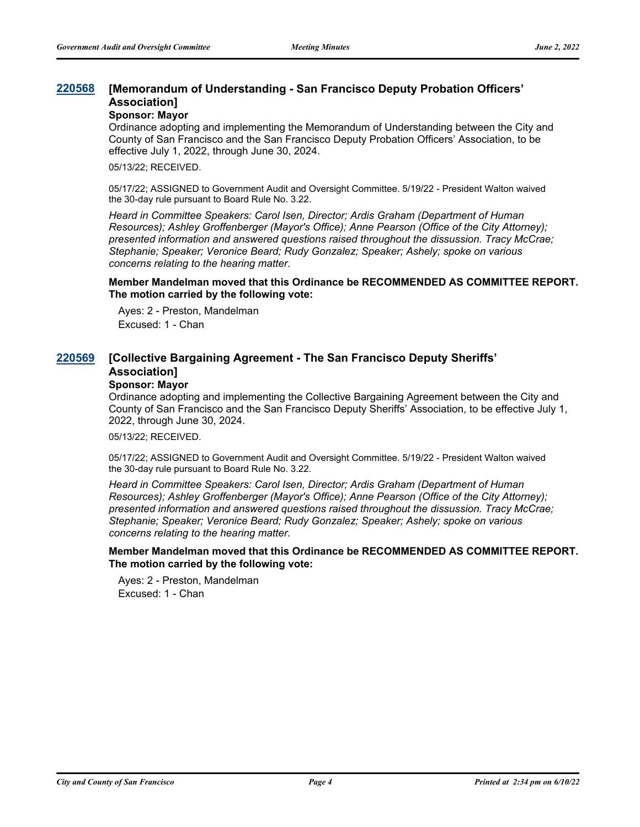#### **[Memorandum of Understanding - San Francisco Deputy Probation Officers' Association] [220568](http://sfgov.legistar.com/gateway.aspx?m=l&id=38760)**

### **Sponsor: Mayor**

Ordinance adopting and implementing the Memorandum of Understanding between the City and County of San Francisco and the San Francisco Deputy Probation Officers' Association, to be effective July 1, 2022, through June 30, 2024.

05/13/22; RECEIVED.

05/17/22; ASSIGNED to Government Audit and Oversight Committee. 5/19/22 - President Walton waived the 30-day rule pursuant to Board Rule No. 3.22.

*Heard in Committee Speakers: Carol Isen, Director; Ardis Graham (Department of Human Resources); Ashley Groffenberger (Mayor's Office); Anne Pearson (Office of the City Attorney); presented information and answered questions raised throughout the dissussion. Tracy McCrae; Stephanie; Speaker; Veronice Beard; Rudy Gonzalez; Speaker; Ashely; spoke on various concerns relating to the hearing matter.*

#### **Member Mandelman moved that this Ordinance be RECOMMENDED AS COMMITTEE REPORT. The motion carried by the following vote:**

Ayes: 2 - Preston, Mandelman Excused: 1 - Chan

#### **[Collective Bargaining Agreement - The San Francisco Deputy Sheriffs' Association] [220569](http://sfgov.legistar.com/gateway.aspx?m=l&id=38761)**

## **Sponsor: Mayor**

Ordinance adopting and implementing the Collective Bargaining Agreement between the City and County of San Francisco and the San Francisco Deputy Sheriffs' Association, to be effective July 1, 2022, through June 30, 2024.

05/13/22; RECEIVED.

05/17/22; ASSIGNED to Government Audit and Oversight Committee. 5/19/22 - President Walton waived the 30-day rule pursuant to Board Rule No. 3.22.

*Heard in Committee Speakers: Carol Isen, Director; Ardis Graham (Department of Human Resources); Ashley Groffenberger (Mayor's Office); Anne Pearson (Office of the City Attorney); presented information and answered questions raised throughout the dissussion. Tracy McCrae; Stephanie; Speaker; Veronice Beard; Rudy Gonzalez; Speaker; Ashely; spoke on various concerns relating to the hearing matter.*

**Member Mandelman moved that this Ordinance be RECOMMENDED AS COMMITTEE REPORT. The motion carried by the following vote:**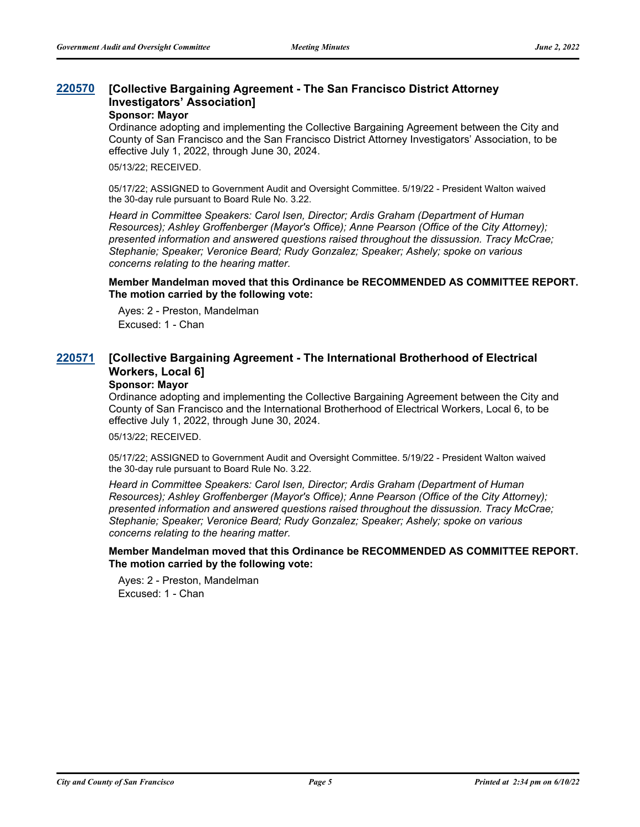#### **[Collective Bargaining Agreement - The San Francisco District Attorney Investigators' Association] [220570](http://sfgov.legistar.com/gateway.aspx?m=l&id=38762)**

#### **Sponsor: Mayor**

Ordinance adopting and implementing the Collective Bargaining Agreement between the City and County of San Francisco and the San Francisco District Attorney Investigators' Association, to be effective July 1, 2022, through June 30, 2024.

05/13/22; RECEIVED.

05/17/22; ASSIGNED to Government Audit and Oversight Committee. 5/19/22 - President Walton waived the 30-day rule pursuant to Board Rule No. 3.22.

*Heard in Committee Speakers: Carol Isen, Director; Ardis Graham (Department of Human Resources); Ashley Groffenberger (Mayor's Office); Anne Pearson (Office of the City Attorney); presented information and answered questions raised throughout the dissussion. Tracy McCrae; Stephanie; Speaker; Veronice Beard; Rudy Gonzalez; Speaker; Ashely; spoke on various concerns relating to the hearing matter.*

**Member Mandelman moved that this Ordinance be RECOMMENDED AS COMMITTEE REPORT. The motion carried by the following vote:**

Ayes: 2 - Preston, Mandelman Excused: 1 - Chan

#### **[Collective Bargaining Agreement - The International Brotherhood of Electrical Workers, Local 6] [220571](http://sfgov.legistar.com/gateway.aspx?m=l&id=38763)**

### **Sponsor: Mayor**

Ordinance adopting and implementing the Collective Bargaining Agreement between the City and County of San Francisco and the International Brotherhood of Electrical Workers, Local 6, to be effective July 1, 2022, through June 30, 2024.

05/13/22; RECEIVED.

05/17/22; ASSIGNED to Government Audit and Oversight Committee. 5/19/22 - President Walton waived the 30-day rule pursuant to Board Rule No. 3.22.

*Heard in Committee Speakers: Carol Isen, Director; Ardis Graham (Department of Human Resources); Ashley Groffenberger (Mayor's Office); Anne Pearson (Office of the City Attorney); presented information and answered questions raised throughout the dissussion. Tracy McCrae; Stephanie; Speaker; Veronice Beard; Rudy Gonzalez; Speaker; Ashely; spoke on various concerns relating to the hearing matter.*

**Member Mandelman moved that this Ordinance be RECOMMENDED AS COMMITTEE REPORT. The motion carried by the following vote:**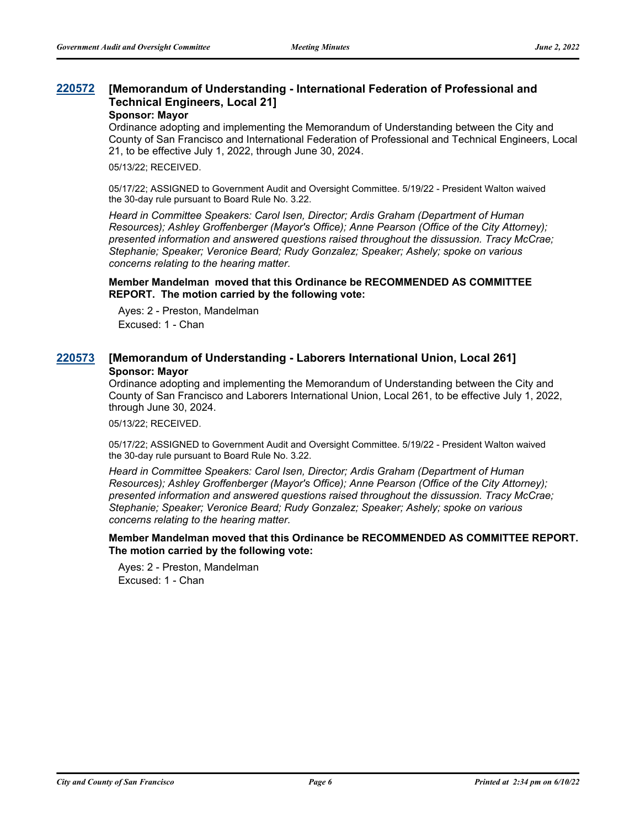#### **[Memorandum of Understanding - International Federation of Professional and Technical Engineers, Local 21] [220572](http://sfgov.legistar.com/gateway.aspx?m=l&id=38764)**

#### **Sponsor: Mayor**

Ordinance adopting and implementing the Memorandum of Understanding between the City and County of San Francisco and International Federation of Professional and Technical Engineers, Local 21, to be effective July 1, 2022, through June 30, 2024.

05/13/22; RECEIVED.

05/17/22; ASSIGNED to Government Audit and Oversight Committee. 5/19/22 - President Walton waived the 30-day rule pursuant to Board Rule No. 3.22.

*Heard in Committee Speakers: Carol Isen, Director; Ardis Graham (Department of Human Resources); Ashley Groffenberger (Mayor's Office); Anne Pearson (Office of the City Attorney); presented information and answered questions raised throughout the dissussion. Tracy McCrae; Stephanie; Speaker; Veronice Beard; Rudy Gonzalez; Speaker; Ashely; spoke on various concerns relating to the hearing matter.*

#### **Member Mandelman moved that this Ordinance be RECOMMENDED AS COMMITTEE REPORT. The motion carried by the following vote:**

Ayes: 2 - Preston, Mandelman Excused: 1 - Chan

## **[220573](http://sfgov.legistar.com/gateway.aspx?m=l&id=38765) [Memorandum of Understanding - Laborers International Union, Local 261] Sponsor: Mayor**

Ordinance adopting and implementing the Memorandum of Understanding between the City and County of San Francisco and Laborers International Union, Local 261, to be effective July 1, 2022, through June 30, 2024.

05/13/22; RECEIVED.

05/17/22; ASSIGNED to Government Audit and Oversight Committee. 5/19/22 - President Walton waived the 30-day rule pursuant to Board Rule No. 3.22.

*Heard in Committee Speakers: Carol Isen, Director; Ardis Graham (Department of Human Resources); Ashley Groffenberger (Mayor's Office); Anne Pearson (Office of the City Attorney); presented information and answered questions raised throughout the dissussion. Tracy McCrae; Stephanie; Speaker; Veronice Beard; Rudy Gonzalez; Speaker; Ashely; spoke on various concerns relating to the hearing matter.*

### **Member Mandelman moved that this Ordinance be RECOMMENDED AS COMMITTEE REPORT. The motion carried by the following vote:**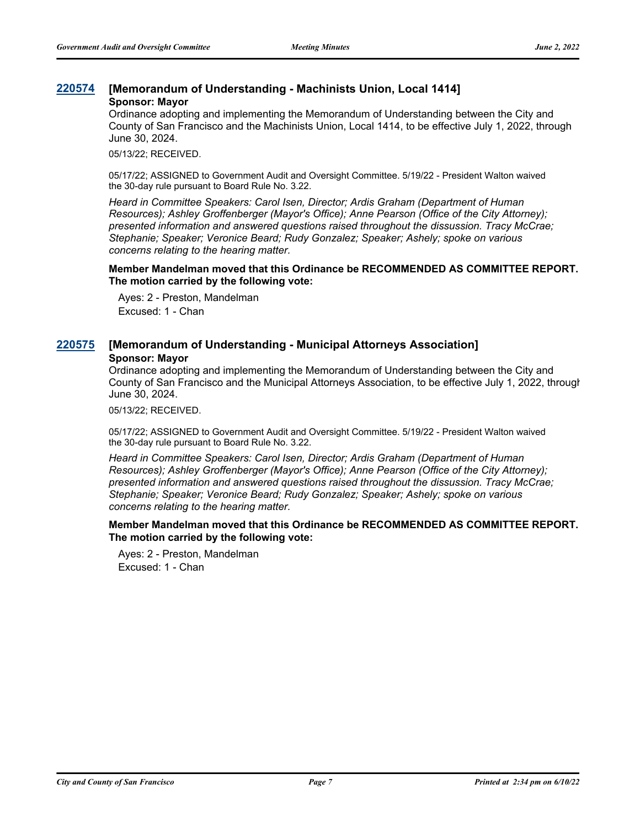### **[220574](http://sfgov.legistar.com/gateway.aspx?m=l&id=38766) [Memorandum of Understanding - Machinists Union, Local 1414] Sponsor: Mayor**

Ordinance adopting and implementing the Memorandum of Understanding between the City and County of San Francisco and the Machinists Union, Local 1414, to be effective July 1, 2022, through June 30, 2024.

05/13/22; RECEIVED.

05/17/22; ASSIGNED to Government Audit and Oversight Committee. 5/19/22 - President Walton waived the 30-day rule pursuant to Board Rule No. 3.22.

*Heard in Committee Speakers: Carol Isen, Director; Ardis Graham (Department of Human Resources); Ashley Groffenberger (Mayor's Office); Anne Pearson (Office of the City Attorney); presented information and answered questions raised throughout the dissussion. Tracy McCrae; Stephanie; Speaker; Veronice Beard; Rudy Gonzalez; Speaker; Ashely; spoke on various concerns relating to the hearing matter.*

**Member Mandelman moved that this Ordinance be RECOMMENDED AS COMMITTEE REPORT. The motion carried by the following vote:**

Ayes: 2 - Preston, Mandelman Excused: 1 - Chan

## **[220575](http://sfgov.legistar.com/gateway.aspx?m=l&id=38767) [Memorandum of Understanding - Municipal Attorneys Association] Sponsor: Mayor**

Ordinance adopting and implementing the Memorandum of Understanding between the City and County of San Francisco and the Municipal Attorneys Association, to be effective July 1, 2022, through June 30, 2024.

05/13/22; RECEIVED.

05/17/22; ASSIGNED to Government Audit and Oversight Committee. 5/19/22 - President Walton waived the 30-day rule pursuant to Board Rule No. 3.22.

*Heard in Committee Speakers: Carol Isen, Director; Ardis Graham (Department of Human Resources); Ashley Groffenberger (Mayor's Office); Anne Pearson (Office of the City Attorney); presented information and answered questions raised throughout the dissussion. Tracy McCrae; Stephanie; Speaker; Veronice Beard; Rudy Gonzalez; Speaker; Ashely; spoke on various concerns relating to the hearing matter.*

**Member Mandelman moved that this Ordinance be RECOMMENDED AS COMMITTEE REPORT. The motion carried by the following vote:**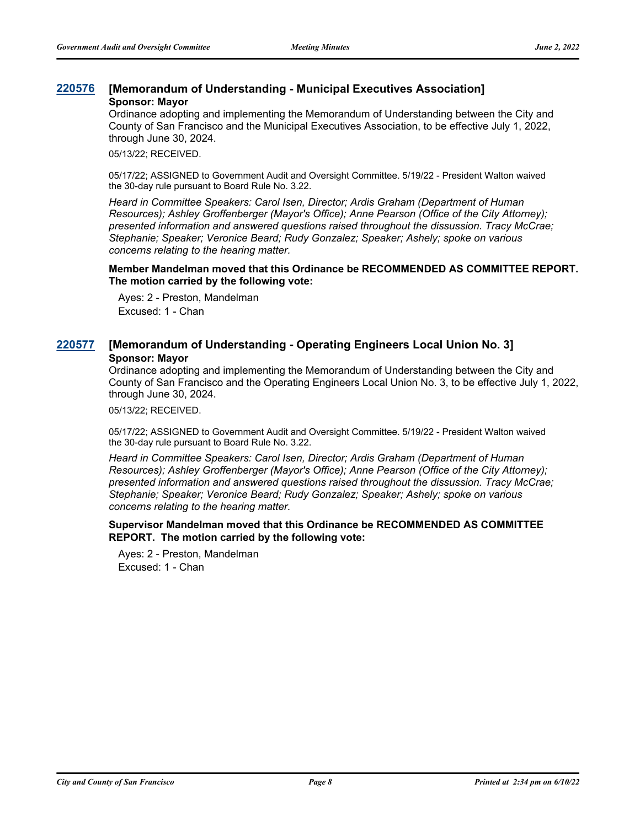## **[220576](http://sfgov.legistar.com/gateway.aspx?m=l&id=38768) [Memorandum of Understanding - Municipal Executives Association] Sponsor: Mayor**

Ordinance adopting and implementing the Memorandum of Understanding between the City and County of San Francisco and the Municipal Executives Association, to be effective July 1, 2022, through June 30, 2024.

05/13/22; RECEIVED.

05/17/22; ASSIGNED to Government Audit and Oversight Committee. 5/19/22 - President Walton waived the 30-day rule pursuant to Board Rule No. 3.22.

*Heard in Committee Speakers: Carol Isen, Director; Ardis Graham (Department of Human Resources); Ashley Groffenberger (Mayor's Office); Anne Pearson (Office of the City Attorney); presented information and answered questions raised throughout the dissussion. Tracy McCrae; Stephanie; Speaker; Veronice Beard; Rudy Gonzalez; Speaker; Ashely; spoke on various concerns relating to the hearing matter.*

**Member Mandelman moved that this Ordinance be RECOMMENDED AS COMMITTEE REPORT. The motion carried by the following vote:**

Ayes: 2 - Preston, Mandelman Excused: 1 - Chan

## **[220577](http://sfgov.legistar.com/gateway.aspx?m=l&id=38769) [Memorandum of Understanding - Operating Engineers Local Union No. 3] Sponsor: Mayor**

Ordinance adopting and implementing the Memorandum of Understanding between the City and County of San Francisco and the Operating Engineers Local Union No. 3, to be effective July 1, 2022, through June 30, 2024.

05/13/22; RECEIVED.

05/17/22; ASSIGNED to Government Audit and Oversight Committee. 5/19/22 - President Walton waived the 30-day rule pursuant to Board Rule No. 3.22.

*Heard in Committee Speakers: Carol Isen, Director; Ardis Graham (Department of Human Resources); Ashley Groffenberger (Mayor's Office); Anne Pearson (Office of the City Attorney); presented information and answered questions raised throughout the dissussion. Tracy McCrae; Stephanie; Speaker; Veronice Beard; Rudy Gonzalez; Speaker; Ashely; spoke on various concerns relating to the hearing matter.*

**Supervisor Mandelman moved that this Ordinance be RECOMMENDED AS COMMITTEE REPORT. The motion carried by the following vote:**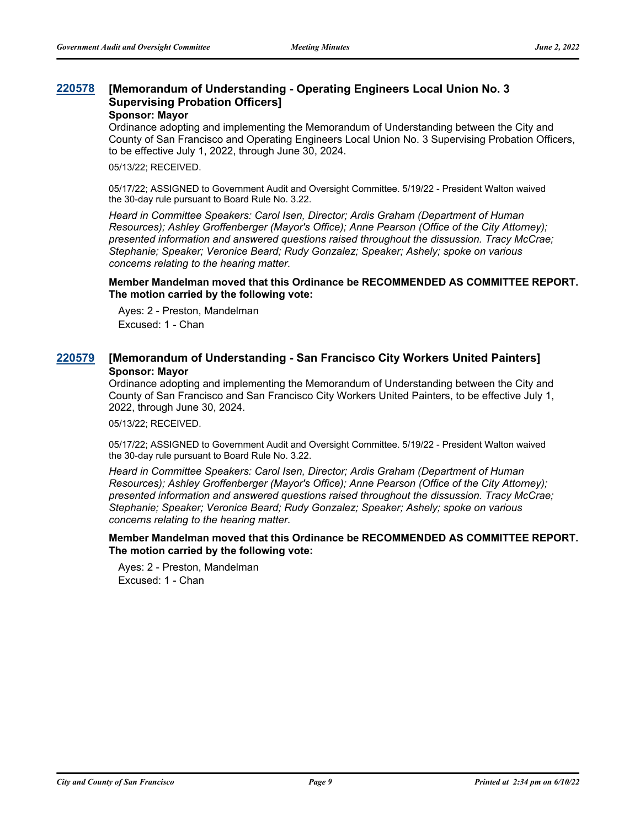#### **[Memorandum of Understanding - Operating Engineers Local Union No. 3 Supervising Probation Officers] [220578](http://sfgov.legistar.com/gateway.aspx?m=l&id=38770)**

#### **Sponsor: Mayor**

Ordinance adopting and implementing the Memorandum of Understanding between the City and County of San Francisco and Operating Engineers Local Union No. 3 Supervising Probation Officers, to be effective July 1, 2022, through June 30, 2024.

05/13/22; RECEIVED.

05/17/22; ASSIGNED to Government Audit and Oversight Committee. 5/19/22 - President Walton waived the 30-day rule pursuant to Board Rule No. 3.22.

*Heard in Committee Speakers: Carol Isen, Director; Ardis Graham (Department of Human Resources); Ashley Groffenberger (Mayor's Office); Anne Pearson (Office of the City Attorney); presented information and answered questions raised throughout the dissussion. Tracy McCrae; Stephanie; Speaker; Veronice Beard; Rudy Gonzalez; Speaker; Ashely; spoke on various concerns relating to the hearing matter.*

#### **Member Mandelman moved that this Ordinance be RECOMMENDED AS COMMITTEE REPORT. The motion carried by the following vote:**

Ayes: 2 - Preston, Mandelman Excused: 1 - Chan

## **[220579](http://sfgov.legistar.com/gateway.aspx?m=l&id=38771) [Memorandum of Understanding - San Francisco City Workers United Painters] Sponsor: Mayor**

Ordinance adopting and implementing the Memorandum of Understanding between the City and County of San Francisco and San Francisco City Workers United Painters, to be effective July 1, 2022, through June 30, 2024.

05/13/22; RECEIVED.

05/17/22; ASSIGNED to Government Audit and Oversight Committee. 5/19/22 - President Walton waived the 30-day rule pursuant to Board Rule No. 3.22.

*Heard in Committee Speakers: Carol Isen, Director; Ardis Graham (Department of Human Resources); Ashley Groffenberger (Mayor's Office); Anne Pearson (Office of the City Attorney); presented information and answered questions raised throughout the dissussion. Tracy McCrae; Stephanie; Speaker; Veronice Beard; Rudy Gonzalez; Speaker; Ashely; spoke on various concerns relating to the hearing matter.*

### **Member Mandelman moved that this Ordinance be RECOMMENDED AS COMMITTEE REPORT. The motion carried by the following vote:**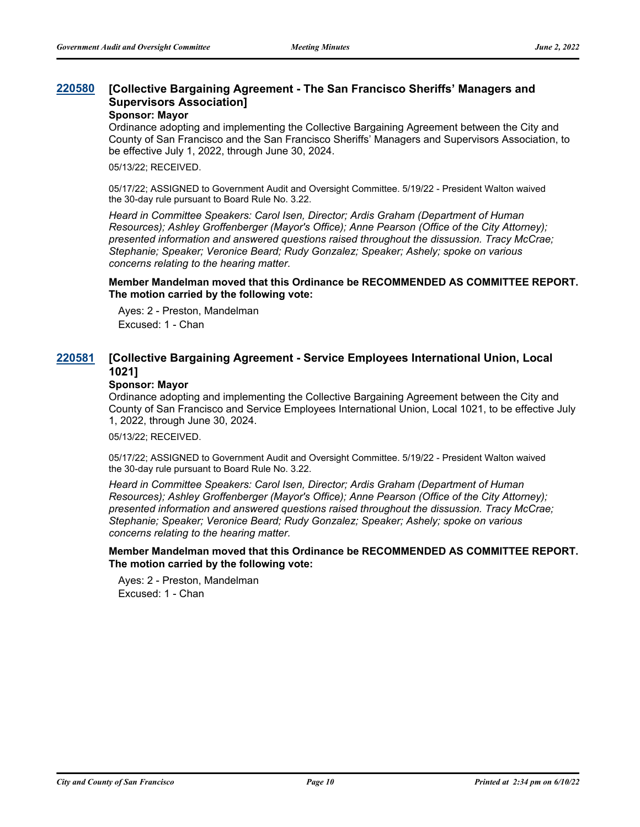#### **[Collective Bargaining Agreement - The San Francisco Sheriffs' Managers and Supervisors Association] [220580](http://sfgov.legistar.com/gateway.aspx?m=l&id=38772)**

#### **Sponsor: Mayor**

Ordinance adopting and implementing the Collective Bargaining Agreement between the City and County of San Francisco and the San Francisco Sheriffs' Managers and Supervisors Association, to be effective July 1, 2022, through June 30, 2024.

05/13/22; RECEIVED.

05/17/22; ASSIGNED to Government Audit and Oversight Committee. 5/19/22 - President Walton waived the 30-day rule pursuant to Board Rule No. 3.22.

*Heard in Committee Speakers: Carol Isen, Director; Ardis Graham (Department of Human Resources); Ashley Groffenberger (Mayor's Office); Anne Pearson (Office of the City Attorney); presented information and answered questions raised throughout the dissussion. Tracy McCrae; Stephanie; Speaker; Veronice Beard; Rudy Gonzalez; Speaker; Ashely; spoke on various concerns relating to the hearing matter.*

#### **Member Mandelman moved that this Ordinance be RECOMMENDED AS COMMITTEE REPORT. The motion carried by the following vote:**

Ayes: 2 - Preston, Mandelman Excused: 1 - Chan

#### **[Collective Bargaining Agreement - Service Employees International Union, Local 1021] [220581](http://sfgov.legistar.com/gateway.aspx?m=l&id=38773)**

### **Sponsor: Mayor**

Ordinance adopting and implementing the Collective Bargaining Agreement between the City and County of San Francisco and Service Employees International Union, Local 1021, to be effective July 1, 2022, through June 30, 2024.

05/13/22; RECEIVED.

05/17/22; ASSIGNED to Government Audit and Oversight Committee. 5/19/22 - President Walton waived the 30-day rule pursuant to Board Rule No. 3.22.

*Heard in Committee Speakers: Carol Isen, Director; Ardis Graham (Department of Human Resources); Ashley Groffenberger (Mayor's Office); Anne Pearson (Office of the City Attorney); presented information and answered questions raised throughout the dissussion. Tracy McCrae; Stephanie; Speaker; Veronice Beard; Rudy Gonzalez; Speaker; Ashely; spoke on various concerns relating to the hearing matter.*

**Member Mandelman moved that this Ordinance be RECOMMENDED AS COMMITTEE REPORT. The motion carried by the following vote:**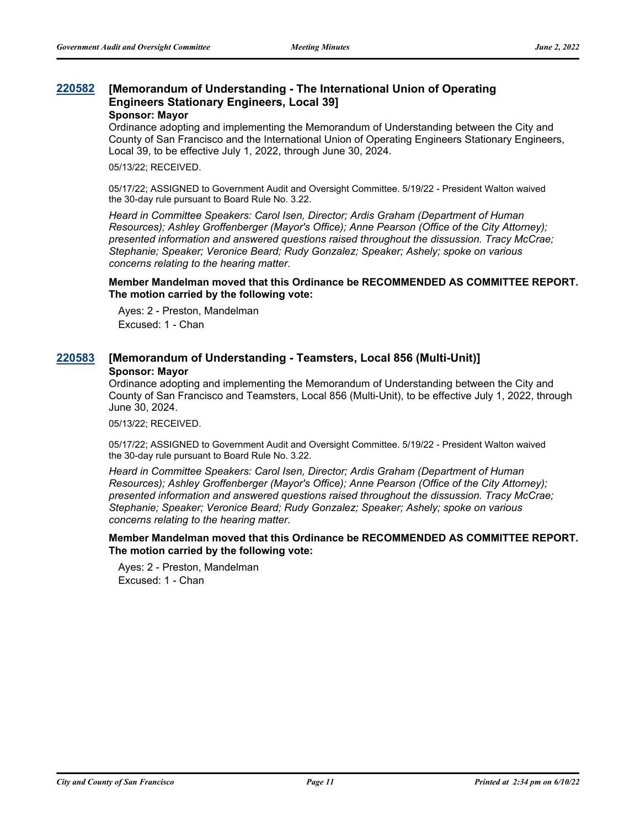#### **[Memorandum of Understanding - The International Union of Operating Engineers Stationary Engineers, Local 39] [220582](http://sfgov.legistar.com/gateway.aspx?m=l&id=38774)**

#### **Sponsor: Mayor**

Ordinance adopting and implementing the Memorandum of Understanding between the City and County of San Francisco and the International Union of Operating Engineers Stationary Engineers, Local 39, to be effective July 1, 2022, through June 30, 2024.

05/13/22; RECEIVED.

05/17/22; ASSIGNED to Government Audit and Oversight Committee. 5/19/22 - President Walton waived the 30-day rule pursuant to Board Rule No. 3.22.

*Heard in Committee Speakers: Carol Isen, Director; Ardis Graham (Department of Human Resources); Ashley Groffenberger (Mayor's Office); Anne Pearson (Office of the City Attorney); presented information and answered questions raised throughout the dissussion. Tracy McCrae; Stephanie; Speaker; Veronice Beard; Rudy Gonzalez; Speaker; Ashely; spoke on various concerns relating to the hearing matter.*

#### **Member Mandelman moved that this Ordinance be RECOMMENDED AS COMMITTEE REPORT. The motion carried by the following vote:**

Ayes: 2 - Preston, Mandelman Excused: 1 - Chan

## **[220583](http://sfgov.legistar.com/gateway.aspx?m=l&id=38775) [Memorandum of Understanding - Teamsters, Local 856 (Multi-Unit)] Sponsor: Mayor**

Ordinance adopting and implementing the Memorandum of Understanding between the City and County of San Francisco and Teamsters, Local 856 (Multi-Unit), to be effective July 1, 2022, through June 30, 2024.

05/13/22; RECEIVED.

05/17/22; ASSIGNED to Government Audit and Oversight Committee. 5/19/22 - President Walton waived the 30-day rule pursuant to Board Rule No. 3.22.

*Heard in Committee Speakers: Carol Isen, Director; Ardis Graham (Department of Human Resources); Ashley Groffenberger (Mayor's Office); Anne Pearson (Office of the City Attorney); presented information and answered questions raised throughout the dissussion. Tracy McCrae; Stephanie; Speaker; Veronice Beard; Rudy Gonzalez; Speaker; Ashely; spoke on various concerns relating to the hearing matter.*

### **Member Mandelman moved that this Ordinance be RECOMMENDED AS COMMITTEE REPORT. The motion carried by the following vote:**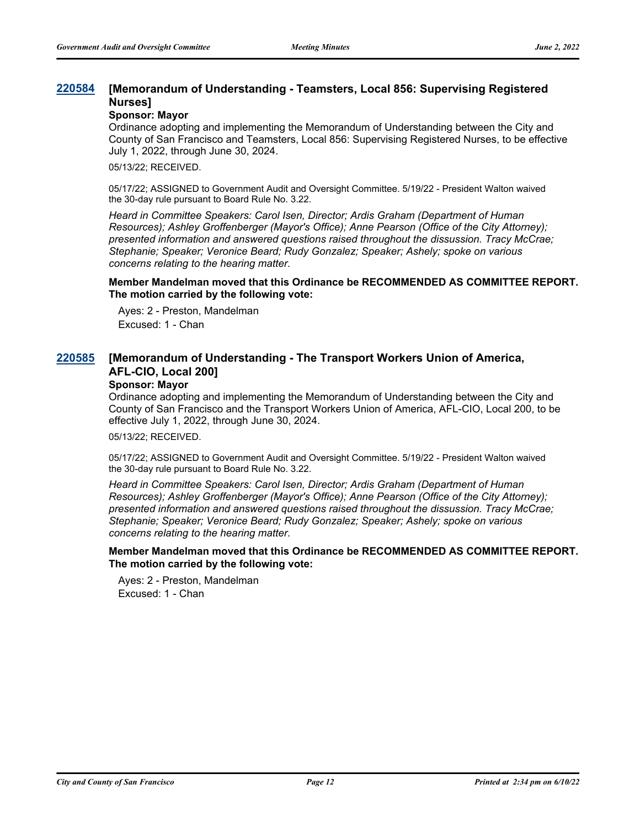#### **[Memorandum of Understanding - Teamsters, Local 856: Supervising Registered Nurses] [220584](http://sfgov.legistar.com/gateway.aspx?m=l&id=38776)**

### **Sponsor: Mayor**

Ordinance adopting and implementing the Memorandum of Understanding between the City and County of San Francisco and Teamsters, Local 856: Supervising Registered Nurses, to be effective July 1, 2022, through June 30, 2024.

05/13/22; RECEIVED.

05/17/22; ASSIGNED to Government Audit and Oversight Committee. 5/19/22 - President Walton waived the 30-day rule pursuant to Board Rule No. 3.22.

*Heard in Committee Speakers: Carol Isen, Director; Ardis Graham (Department of Human Resources); Ashley Groffenberger (Mayor's Office); Anne Pearson (Office of the City Attorney); presented information and answered questions raised throughout the dissussion. Tracy McCrae; Stephanie; Speaker; Veronice Beard; Rudy Gonzalez; Speaker; Ashely; spoke on various concerns relating to the hearing matter.*

**Member Mandelman moved that this Ordinance be RECOMMENDED AS COMMITTEE REPORT. The motion carried by the following vote:**

Ayes: 2 - Preston, Mandelman Excused: 1 - Chan

#### **[Memorandum of Understanding - The Transport Workers Union of America, AFL-CIO, Local 200] [220585](http://sfgov.legistar.com/gateway.aspx?m=l&id=38777)**

#### **Sponsor: Mayor**

Ordinance adopting and implementing the Memorandum of Understanding between the City and County of San Francisco and the Transport Workers Union of America, AFL-CIO, Local 200, to be effective July 1, 2022, through June 30, 2024.

05/13/22; RECEIVED.

05/17/22; ASSIGNED to Government Audit and Oversight Committee. 5/19/22 - President Walton waived the 30-day rule pursuant to Board Rule No. 3.22.

*Heard in Committee Speakers: Carol Isen, Director; Ardis Graham (Department of Human Resources); Ashley Groffenberger (Mayor's Office); Anne Pearson (Office of the City Attorney); presented information and answered questions raised throughout the dissussion. Tracy McCrae; Stephanie; Speaker; Veronice Beard; Rudy Gonzalez; Speaker; Ashely; spoke on various concerns relating to the hearing matter.*

**Member Mandelman moved that this Ordinance be RECOMMENDED AS COMMITTEE REPORT. The motion carried by the following vote:**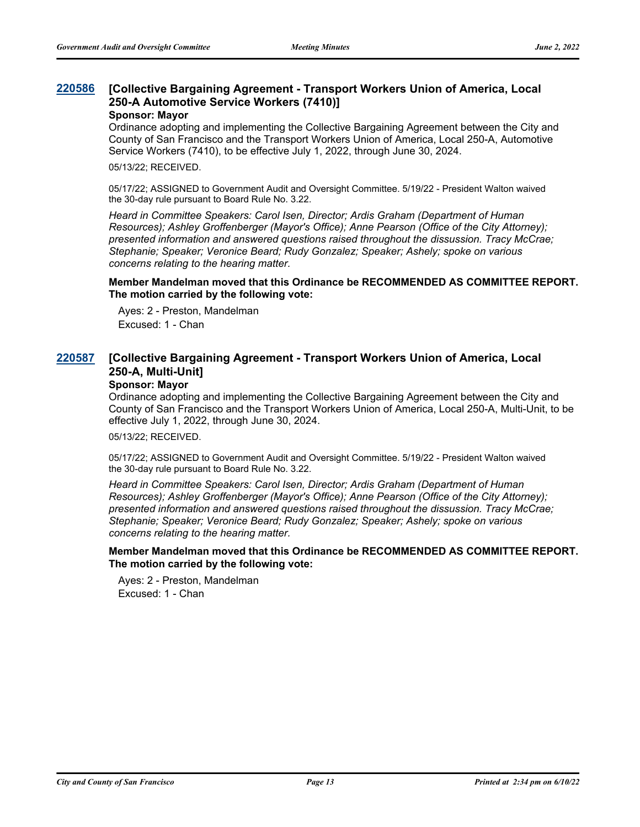#### **[Collective Bargaining Agreement - Transport Workers Union of America, Local 250-A Automotive Service Workers (7410)] [220586](http://sfgov.legistar.com/gateway.aspx?m=l&id=38778)**

#### **Sponsor: Mayor**

Ordinance adopting and implementing the Collective Bargaining Agreement between the City and County of San Francisco and the Transport Workers Union of America, Local 250-A, Automotive Service Workers (7410), to be effective July 1, 2022, through June 30, 2024.

05/13/22; RECEIVED.

05/17/22; ASSIGNED to Government Audit and Oversight Committee. 5/19/22 - President Walton waived the 30-day rule pursuant to Board Rule No. 3.22.

*Heard in Committee Speakers: Carol Isen, Director; Ardis Graham (Department of Human Resources); Ashley Groffenberger (Mayor's Office); Anne Pearson (Office of the City Attorney); presented information and answered questions raised throughout the dissussion. Tracy McCrae; Stephanie; Speaker; Veronice Beard; Rudy Gonzalez; Speaker; Ashely; spoke on various concerns relating to the hearing matter.*

**Member Mandelman moved that this Ordinance be RECOMMENDED AS COMMITTEE REPORT. The motion carried by the following vote:**

Ayes: 2 - Preston, Mandelman Excused: 1 - Chan

#### **[Collective Bargaining Agreement - Transport Workers Union of America, Local 250-A, Multi-Unit] [220587](http://sfgov.legistar.com/gateway.aspx?m=l&id=38779)**

### **Sponsor: Mayor**

Ordinance adopting and implementing the Collective Bargaining Agreement between the City and County of San Francisco and the Transport Workers Union of America, Local 250-A, Multi-Unit, to be effective July 1, 2022, through June 30, 2024.

05/13/22; RECEIVED.

05/17/22; ASSIGNED to Government Audit and Oversight Committee. 5/19/22 - President Walton waived the 30-day rule pursuant to Board Rule No. 3.22.

*Heard in Committee Speakers: Carol Isen, Director; Ardis Graham (Department of Human Resources); Ashley Groffenberger (Mayor's Office); Anne Pearson (Office of the City Attorney); presented information and answered questions raised throughout the dissussion. Tracy McCrae; Stephanie; Speaker; Veronice Beard; Rudy Gonzalez; Speaker; Ashely; spoke on various concerns relating to the hearing matter.*

**Member Mandelman moved that this Ordinance be RECOMMENDED AS COMMITTEE REPORT. The motion carried by the following vote:**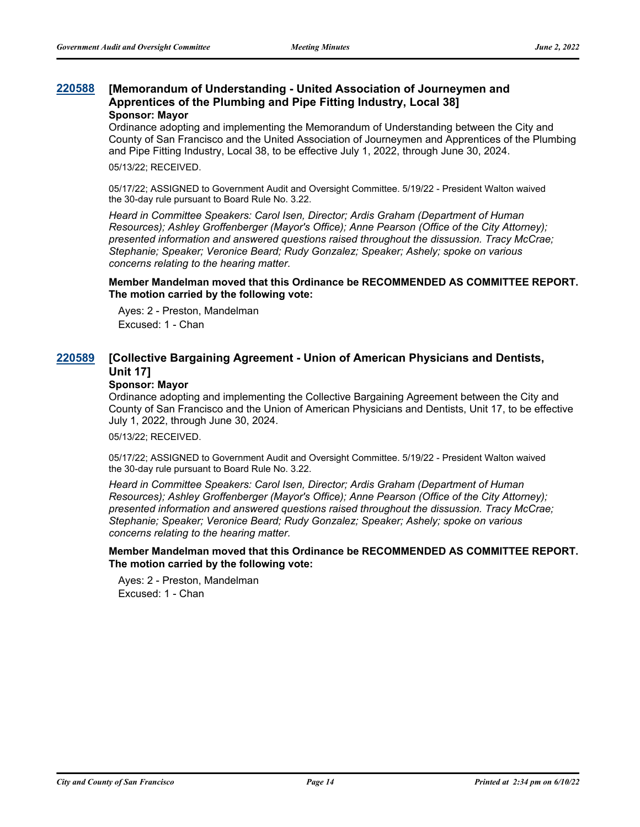#### **[Memorandum of Understanding - United Association of Journeymen and Apprentices of the Plumbing and Pipe Fitting Industry, Local 38] [220588](http://sfgov.legistar.com/gateway.aspx?m=l&id=38780) Sponsor: Mayor**

Ordinance adopting and implementing the Memorandum of Understanding between the City and County of San Francisco and the United Association of Journeymen and Apprentices of the Plumbing and Pipe Fitting Industry, Local 38, to be effective July 1, 2022, through June 30, 2024.

05/13/22; RECEIVED.

05/17/22; ASSIGNED to Government Audit and Oversight Committee. 5/19/22 - President Walton waived the 30-day rule pursuant to Board Rule No. 3.22.

*Heard in Committee Speakers: Carol Isen, Director; Ardis Graham (Department of Human Resources); Ashley Groffenberger (Mayor's Office); Anne Pearson (Office of the City Attorney); presented information and answered questions raised throughout the dissussion. Tracy McCrae; Stephanie; Speaker; Veronice Beard; Rudy Gonzalez; Speaker; Ashely; spoke on various concerns relating to the hearing matter.*

#### **Member Mandelman moved that this Ordinance be RECOMMENDED AS COMMITTEE REPORT. The motion carried by the following vote:**

Ayes: 2 - Preston, Mandelman Excused: 1 - Chan

#### **[Collective Bargaining Agreement - Union of American Physicians and Dentists, Unit 17] [220589](http://sfgov.legistar.com/gateway.aspx?m=l&id=38781)**

#### **Sponsor: Mayor**

Ordinance adopting and implementing the Collective Bargaining Agreement between the City and County of San Francisco and the Union of American Physicians and Dentists, Unit 17, to be effective July 1, 2022, through June 30, 2024.

05/13/22; RECEIVED.

05/17/22; ASSIGNED to Government Audit and Oversight Committee. 5/19/22 - President Walton waived the 30-day rule pursuant to Board Rule No. 3.22.

*Heard in Committee Speakers: Carol Isen, Director; Ardis Graham (Department of Human Resources); Ashley Groffenberger (Mayor's Office); Anne Pearson (Office of the City Attorney); presented information and answered questions raised throughout the dissussion. Tracy McCrae; Stephanie; Speaker; Veronice Beard; Rudy Gonzalez; Speaker; Ashely; spoke on various concerns relating to the hearing matter.*

**Member Mandelman moved that this Ordinance be RECOMMENDED AS COMMITTEE REPORT. The motion carried by the following vote:**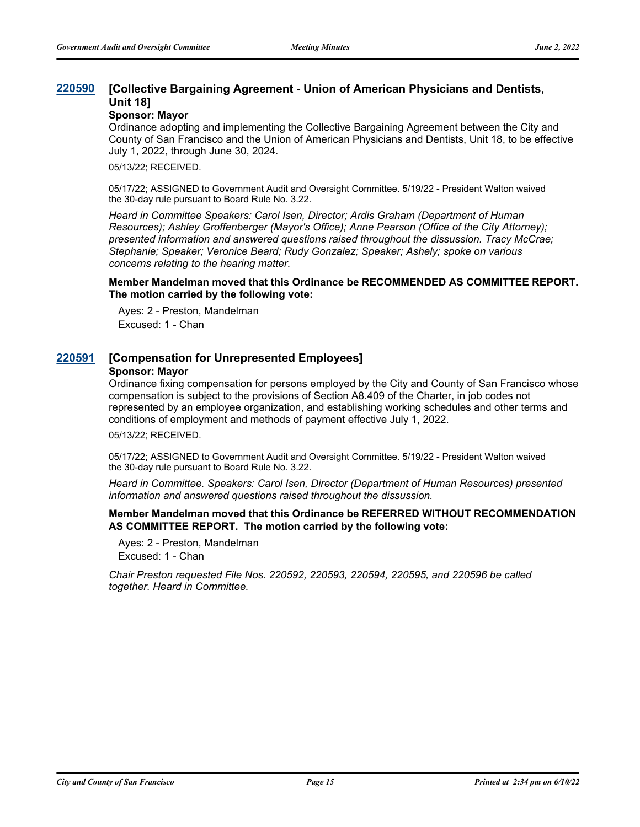#### **[Collective Bargaining Agreement - Union of American Physicians and Dentists, Unit 18] [220590](http://sfgov.legistar.com/gateway.aspx?m=l&id=38782)**

## **Sponsor: Mayor**

Ordinance adopting and implementing the Collective Bargaining Agreement between the City and County of San Francisco and the Union of American Physicians and Dentists, Unit 18, to be effective July 1, 2022, through June 30, 2024.

05/13/22; RECEIVED.

05/17/22; ASSIGNED to Government Audit and Oversight Committee. 5/19/22 - President Walton waived the 30-day rule pursuant to Board Rule No. 3.22.

*Heard in Committee Speakers: Carol Isen, Director; Ardis Graham (Department of Human Resources); Ashley Groffenberger (Mayor's Office); Anne Pearson (Office of the City Attorney); presented information and answered questions raised throughout the dissussion. Tracy McCrae; Stephanie; Speaker; Veronice Beard; Rudy Gonzalez; Speaker; Ashely; spoke on various concerns relating to the hearing matter.*

#### **Member Mandelman moved that this Ordinance be RECOMMENDED AS COMMITTEE REPORT. The motion carried by the following vote:**

Ayes: 2 - Preston, Mandelman Excused: 1 - Chan

## **[220591](http://sfgov.legistar.com/gateway.aspx?m=l&id=38783) [Compensation for Unrepresented Employees]**

#### **Sponsor: Mayor**

Ordinance fixing compensation for persons employed by the City and County of San Francisco whose compensation is subject to the provisions of Section A8.409 of the Charter, in job codes not represented by an employee organization, and establishing working schedules and other terms and conditions of employment and methods of payment effective July 1, 2022.

05/13/22; RECEIVED.

05/17/22; ASSIGNED to Government Audit and Oversight Committee. 5/19/22 - President Walton waived the 30-day rule pursuant to Board Rule No. 3.22.

*Heard in Committee. Speakers: Carol Isen, Director (Department of Human Resources) presented information and answered questions raised throughout the dissussion.*

**Member Mandelman moved that this Ordinance be REFERRED WITHOUT RECOMMENDATION AS COMMITTEE REPORT. The motion carried by the following vote:**

Ayes: 2 - Preston, Mandelman Excused: 1 - Chan

*Chair Preston requested File Nos. 220592, 220593, 220594, 220595, and 220596 be called together. Heard in Committee.*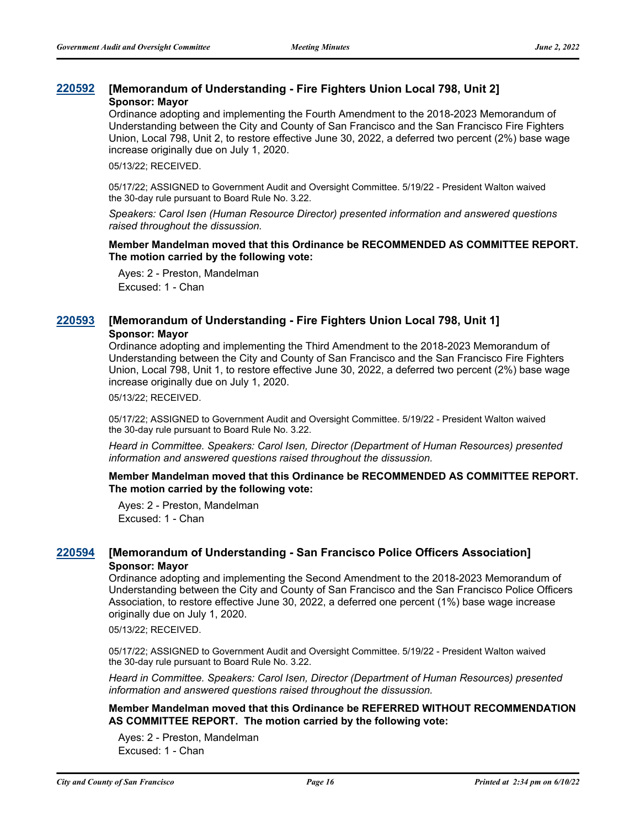## **[220592](http://sfgov.legistar.com/gateway.aspx?m=l&id=38784) [Memorandum of Understanding - Fire Fighters Union Local 798, Unit 2] Sponsor: Mayor**

Ordinance adopting and implementing the Fourth Amendment to the 2018-2023 Memorandum of Understanding between the City and County of San Francisco and the San Francisco Fire Fighters Union, Local 798, Unit 2, to restore effective June 30, 2022, a deferred two percent (2%) base wage increase originally due on July 1, 2020.

05/13/22; RECEIVED.

05/17/22; ASSIGNED to Government Audit and Oversight Committee. 5/19/22 - President Walton waived the 30-day rule pursuant to Board Rule No. 3.22.

*Speakers: Carol Isen (Human Resource Director) presented information and answered questions raised throughout the dissussion.*

#### **Member Mandelman moved that this Ordinance be RECOMMENDED AS COMMITTEE REPORT. The motion carried by the following vote:**

Ayes: 2 - Preston, Mandelman Excused: 1 - Chan

## **[220593](http://sfgov.legistar.com/gateway.aspx?m=l&id=38785) [Memorandum of Understanding - Fire Fighters Union Local 798, Unit 1] Sponsor: Mayor**

Ordinance adopting and implementing the Third Amendment to the 2018-2023 Memorandum of Understanding between the City and County of San Francisco and the San Francisco Fire Fighters Union, Local 798, Unit 1, to restore effective June 30, 2022, a deferred two percent (2%) base wage increase originally due on July 1, 2020.

05/13/22; RECEIVED.

05/17/22; ASSIGNED to Government Audit and Oversight Committee. 5/19/22 - President Walton waived the 30-day rule pursuant to Board Rule No. 3.22.

*Heard in Committee. Speakers: Carol Isen, Director (Department of Human Resources) presented information and answered questions raised throughout the dissussion.*

#### **Member Mandelman moved that this Ordinance be RECOMMENDED AS COMMITTEE REPORT. The motion carried by the following vote:**

Ayes: 2 - Preston, Mandelman Excused: 1 - Chan

## **[220594](http://sfgov.legistar.com/gateway.aspx?m=l&id=38786) [Memorandum of Understanding - San Francisco Police Officers Association] Sponsor: Mayor**

Ordinance adopting and implementing the Second Amendment to the 2018-2023 Memorandum of Understanding between the City and County of San Francisco and the San Francisco Police Officers Association, to restore effective June 30, 2022, a deferred one percent (1%) base wage increase originally due on July 1, 2020.

05/13/22; RECEIVED.

05/17/22; ASSIGNED to Government Audit and Oversight Committee. 5/19/22 - President Walton waived the 30-day rule pursuant to Board Rule No. 3.22.

*Heard in Committee. Speakers: Carol Isen, Director (Department of Human Resources) presented information and answered questions raised throughout the dissussion.*

**Member Mandelman moved that this Ordinance be REFERRED WITHOUT RECOMMENDATION AS COMMITTEE REPORT. The motion carried by the following vote:**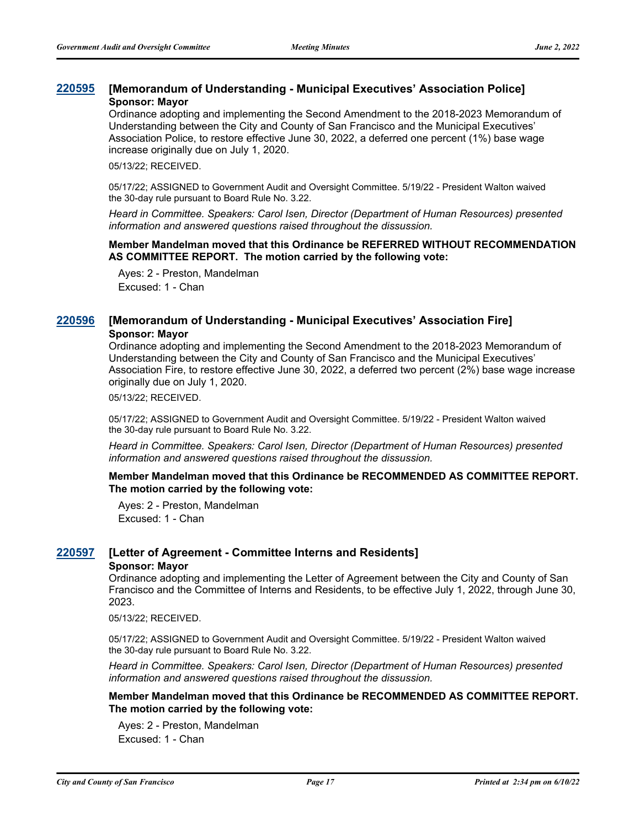## **[220595](http://sfgov.legistar.com/gateway.aspx?m=l&id=38787) [Memorandum of Understanding - Municipal Executives' Association Police] Sponsor: Mayor**

Ordinance adopting and implementing the Second Amendment to the 2018-2023 Memorandum of Understanding between the City and County of San Francisco and the Municipal Executives' Association Police, to restore effective June 30, 2022, a deferred one percent (1%) base wage increase originally due on July 1, 2020.

05/13/22; RECEIVED.

05/17/22; ASSIGNED to Government Audit and Oversight Committee. 5/19/22 - President Walton waived the 30-day rule pursuant to Board Rule No. 3.22.

*Heard in Committee. Speakers: Carol Isen, Director (Department of Human Resources) presented information and answered questions raised throughout the dissussion.*

#### **Member Mandelman moved that this Ordinance be REFERRED WITHOUT RECOMMENDATION AS COMMITTEE REPORT. The motion carried by the following vote:**

Ayes: 2 - Preston, Mandelman Excused: 1 - Chan

## **[220596](http://sfgov.legistar.com/gateway.aspx?m=l&id=38788) [Memorandum of Understanding - Municipal Executives' Association Fire] Sponsor: Mayor**

Ordinance adopting and implementing the Second Amendment to the 2018-2023 Memorandum of Understanding between the City and County of San Francisco and the Municipal Executives' Association Fire, to restore effective June 30, 2022, a deferred two percent (2%) base wage increase originally due on July 1, 2020.

05/13/22; RECEIVED.

05/17/22; ASSIGNED to Government Audit and Oversight Committee. 5/19/22 - President Walton waived the 30-day rule pursuant to Board Rule No. 3.22.

*Heard in Committee. Speakers: Carol Isen, Director (Department of Human Resources) presented information and answered questions raised throughout the dissussion.*

#### **Member Mandelman moved that this Ordinance be RECOMMENDED AS COMMITTEE REPORT. The motion carried by the following vote:**

Ayes: 2 - Preston, Mandelman Excused: 1 - Chan

## **[220597](http://sfgov.legistar.com/gateway.aspx?m=l&id=38789) [Letter of Agreement - Committee Interns and Residents]**

#### **Sponsor: Mayor**

Ordinance adopting and implementing the Letter of Agreement between the City and County of San Francisco and the Committee of Interns and Residents, to be effective July 1, 2022, through June 30, 2023.

05/13/22; RECEIVED.

05/17/22; ASSIGNED to Government Audit and Oversight Committee. 5/19/22 - President Walton waived the 30-day rule pursuant to Board Rule No. 3.22.

*Heard in Committee. Speakers: Carol Isen, Director (Department of Human Resources) presented information and answered questions raised throughout the dissussion.*

#### **Member Mandelman moved that this Ordinance be RECOMMENDED AS COMMITTEE REPORT. The motion carried by the following vote:**